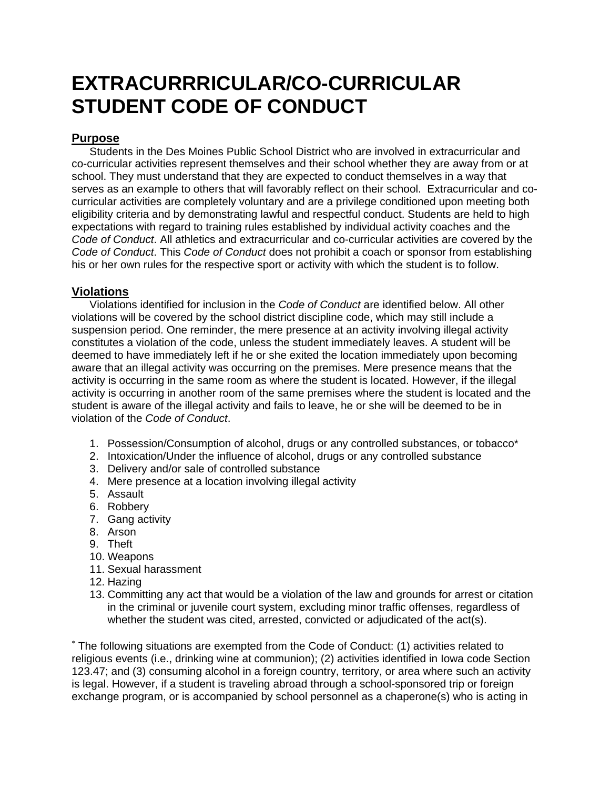# **EXTRACURRRICULAR/CO-CURRICULAR STUDENT CODE OF CONDUCT**

### **Purpose**

Students in the Des Moines Public School District who are involved in extracurricular and co-curricular activities represent themselves and their school whether they are away from or at school. They must understand that they are expected to conduct themselves in a way that serves as an example to others that will favorably reflect on their school. Extracurricular and cocurricular activities are completely voluntary and are a privilege conditioned upon meeting both eligibility criteria and by demonstrating lawful and respectful conduct. Students are held to high expectations with regard to training rules established by individual activity coaches and the *Code of Conduct*. All athletics and extracurricular and co-curricular activities are covered by the *Code of Conduct*. This *Code of Conduct* does not prohibit a coach or sponsor from establishing his or her own rules for the respective sport or activity with which the student is to follow.

## **Violations**

Violations identified for inclusion in the *Code of Conduct* are identified below. All other violations will be covered by the school district discipline code, which may still include a suspension period. One reminder, the mere presence at an activity involving illegal activity constitutes a violation of the code, unless the student immediately leaves. A student will be deemed to have immediately left if he or she exited the location immediately upon becoming aware that an illegal activity was occurring on the premises. Mere presence means that the activity is occurring in the same room as where the student is located. However, if the illegal activity is occurring in another room of the same premises where the student is located and the student is aware of the illegal activity and fails to leave, he or she will be deemed to be in violation of the *Code of Conduct*.

- 1. Possession/Consumption of alcohol, drugs or any controlled substances, or tobacco\*
- 2. Intoxication/Under the influence of alcohol, drugs or any controlled substance
- 3. Delivery and/or sale of controlled substance
- 4. Mere presence at a location involving illegal activity
- 5. Assault
- 6. Robbery
- 7. Gang activity
- 8. Arson
- 9. Theft
- 10. Weapons
- 11. Sexual harassment
- 12. Hazing
- 13. Committing any act that would be a violation of the law and grounds for arrest or citation in the criminal or juvenile court system, excluding minor traffic offenses, regardless of whether the student was cited, arrested, convicted or adjudicated of the act(s).

∗ The following situations are exempted from the Code of Conduct: (1) activities related to religious events (i.e., drinking wine at communion); (2) activities identified in Iowa code Section 123.47; and (3) consuming alcohol in a foreign country, territory, or area where such an activity is legal. However, if a student is traveling abroad through a school-sponsored trip or foreign exchange program, or is accompanied by school personnel as a chaperone(s) who is acting in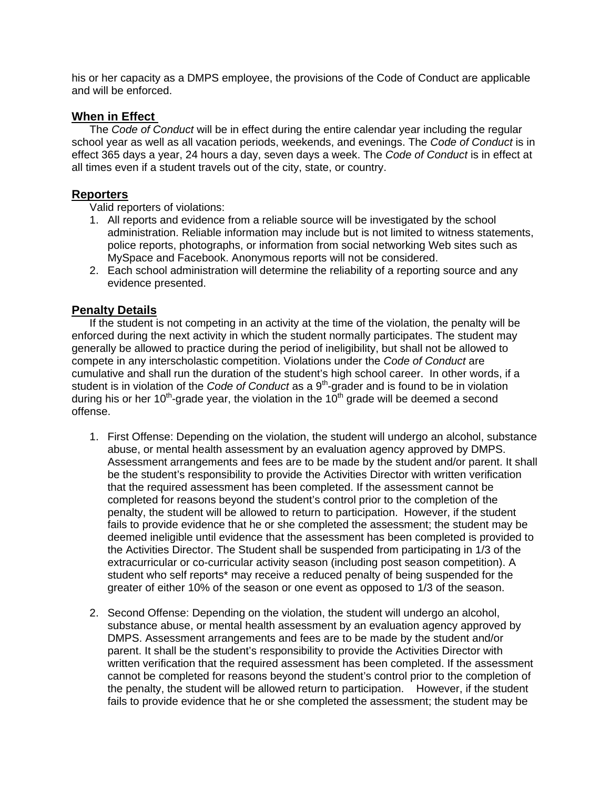his or her capacity as a DMPS employee, the provisions of the Code of Conduct are applicable and will be enforced.

#### **When in Effect**

The *Code of Conduct* will be in effect during the entire calendar year including the regular school year as well as all vacation periods, weekends, and evenings. The *Code of Conduct* is in effect 365 days a year, 24 hours a day, seven days a week. The *Code of Conduct* is in effect at all times even if a student travels out of the city, state, or country.

#### **Reporters**

Valid reporters of violations:

- 1. All reports and evidence from a reliable source will be investigated by the school administration. Reliable information may include but is not limited to witness statements, police reports, photographs, or information from social networking Web sites such as MySpace and Facebook. Anonymous reports will not be considered.
- 2. Each school administration will determine the reliability of a reporting source and any evidence presented.

#### **Penalty Details**

If the student is not competing in an activity at the time of the violation, the penalty will be enforced during the next activity in which the student normally participates. The student may generally be allowed to practice during the period of ineligibility, but shall not be allowed to compete in any interscholastic competition. Violations under the *Code of Conduct* are cumulative and shall run the duration of the student's high school career. In other words, if a student is in violation of the *Code of Conduct* as a 9<sup>th</sup>-grader and is found to be in violation during his or her  $10^{th}$ -grade year, the violation in the  $10^{th}$  grade will be deemed a second offense.

- 1. First Offense: Depending on the violation, the student will undergo an alcohol, substance abuse, or mental health assessment by an evaluation agency approved by DMPS. Assessment arrangements and fees are to be made by the student and/or parent. It shall be the student's responsibility to provide the Activities Director with written verification that the required assessment has been completed. If the assessment cannot be completed for reasons beyond the student's control prior to the completion of the penalty, the student will be allowed to return to participation. However, if the student fails to provide evidence that he or she completed the assessment; the student may be deemed ineligible until evidence that the assessment has been completed is provided to the Activities Director. The Student shall be suspended from participating in 1/3 of the extracurricular or co-curricular activity season (including post season competition). A student who self reports\* may receive a reduced penalty of being suspended for the greater of either 10% of the season or one event as opposed to 1/3 of the season.
- 2. Second Offense: Depending on the violation, the student will undergo an alcohol, substance abuse, or mental health assessment by an evaluation agency approved by DMPS. Assessment arrangements and fees are to be made by the student and/or parent. It shall be the student's responsibility to provide the Activities Director with written verification that the required assessment has been completed. If the assessment cannot be completed for reasons beyond the student's control prior to the completion of the penalty, the student will be allowed return to participation. However, if the student fails to provide evidence that he or she completed the assessment; the student may be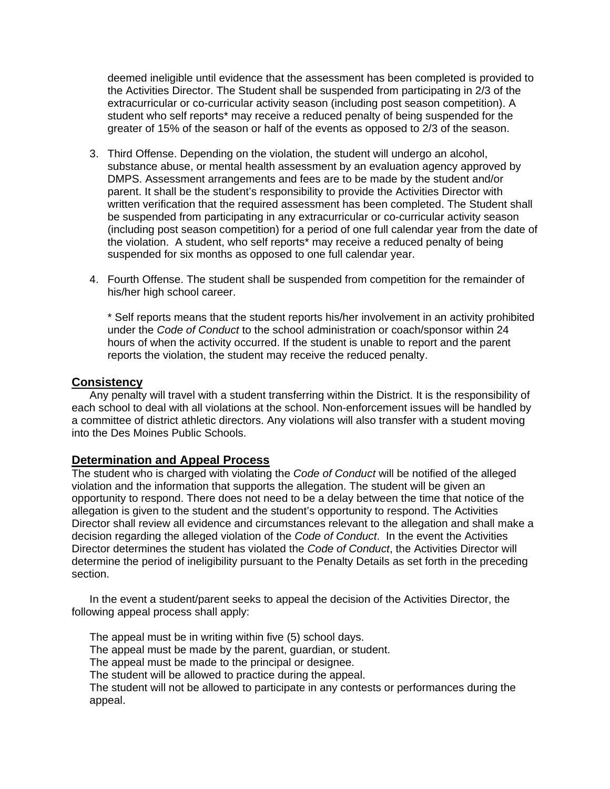deemed ineligible until evidence that the assessment has been completed is provided to the Activities Director. The Student shall be suspended from participating in 2/3 of the extracurricular or co-curricular activity season (including post season competition). A student who self reports\* may receive a reduced penalty of being suspended for the greater of 15% of the season or half of the events as opposed to 2/3 of the season.

- 3. Third Offense. Depending on the violation, the student will undergo an alcohol, substance abuse, or mental health assessment by an evaluation agency approved by DMPS. Assessment arrangements and fees are to be made by the student and/or parent. It shall be the student's responsibility to provide the Activities Director with written verification that the required assessment has been completed. The Student shall be suspended from participating in any extracurricular or co-curricular activity season (including post season competition) for a period of one full calendar year from the date of the violation. A student, who self reports\* may receive a reduced penalty of being suspended for six months as opposed to one full calendar year.
- 4. Fourth Offense. The student shall be suspended from competition for the remainder of his/her high school career.

\* Self reports means that the student reports his/her involvement in an activity prohibited under the *Code of Conduct* to the school administration or coach/sponsor within 24 hours of when the activity occurred. If the student is unable to report and the parent reports the violation, the student may receive the reduced penalty.

#### **Consistency**

Any penalty will travel with a student transferring within the District. It is the responsibility of each school to deal with all violations at the school. Non-enforcement issues will be handled by a committee of district athletic directors. Any violations will also transfer with a student moving into the Des Moines Public Schools.

#### **Determination and Appeal Process**

The student who is charged with violating the *Code of Conduct* will be notified of the alleged violation and the information that supports the allegation. The student will be given an opportunity to respond. There does not need to be a delay between the time that notice of the allegation is given to the student and the student's opportunity to respond. The Activities Director shall review all evidence and circumstances relevant to the allegation and shall make a decision regarding the alleged violation of the *Code of Conduct*. In the event the Activities Director determines the student has violated the *Code of Conduct*, the Activities Director will determine the period of ineligibility pursuant to the Penalty Details as set forth in the preceding section.

In the event a student/parent seeks to appeal the decision of the Activities Director, the following appeal process shall apply:

The appeal must be in writing within five (5) school days. The appeal must be made by the parent, guardian, or student. The appeal must be made to the principal or designee. The student will be allowed to practice during the appeal. The student will not be allowed to participate in any contests or performances during the appeal.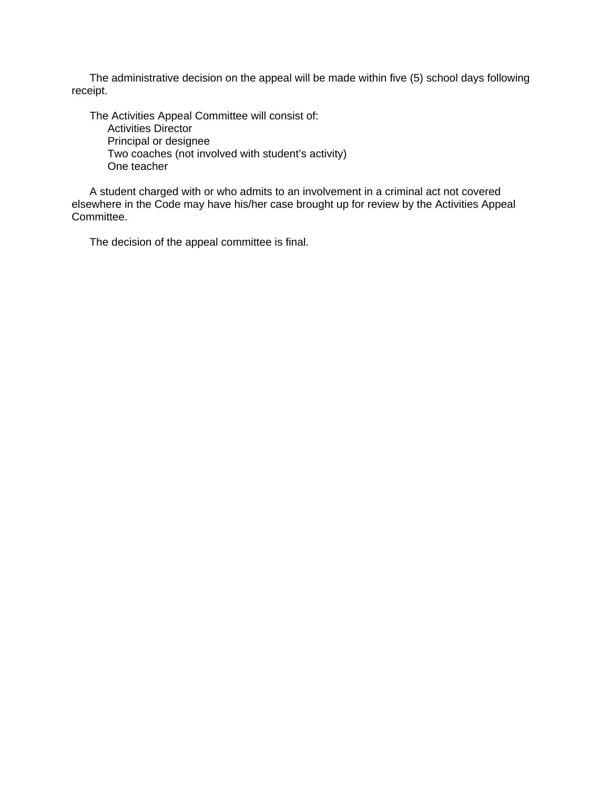The administrative decision on the appeal will be made within five (5) school days following receipt.

The Activities Appeal Committee will consist of: Activities Director Principal or designee Two coaches (not involved with student's activity) One teacher

A student charged with or who admits to an involvement in a criminal act not covered elsewhere in the Code may have his/her case brought up for review by the Activities Appeal Committee.

The decision of the appeal committee is final.